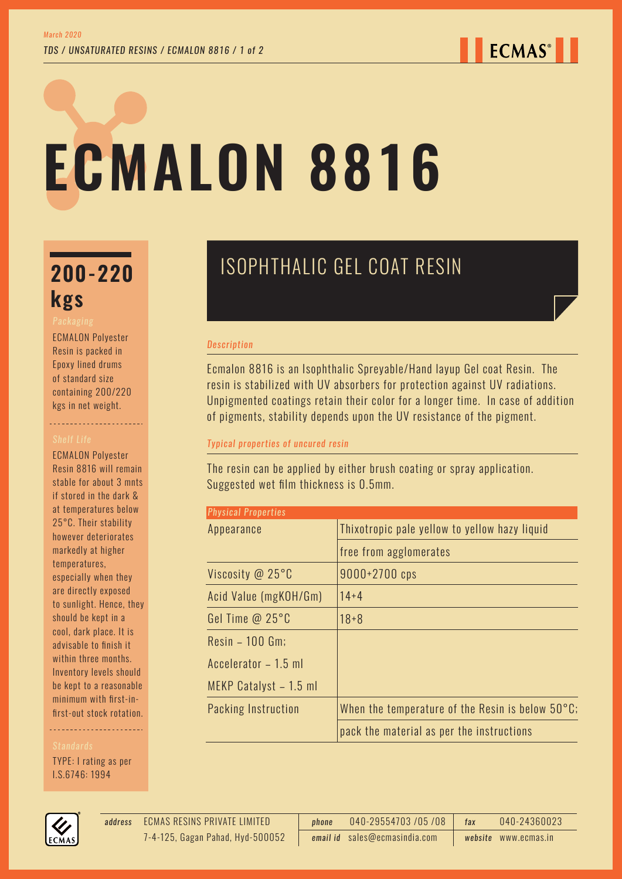# **ECMALON 8816**

# **kgs**

ECMALON Polyester Resin is packed in Epoxy lined drums of standard size containing 200/220 kgs in net weight.

----------------------

ECMALON Polyester Resin 8816 will remain stable for about 3 mnts if stored in the dark & at temperatures below 25°C. Their stability however deteriorates markedly at higher temperatures, especially when they are directly exposed to sunlight. Hence, they should be kept in a cool, dark place. It is advisable to finish it within three months. Inventory levels should be kept to a reasonable minimum with first-infirst-out stock rotation.

TYPE: I rating as per I.S.6746: 1994



#### *Description*

Ecmalon 8816 is an Isophthalic Spreyable/Hand layup Gel coat Resin. The resin is stabilized with UV absorbers for protection against UV radiations. Unpigmented coatings retain their color for a longer time. In case of addition of pigments, stability depends upon the UV resistance of the pigment.

#### *Typical properties of uncured resin*

The resin can be applied by either brush coating or spray application. Suggested wet film thickness is 0.5mm.

| <b>Physical Properties</b> |                                                            |
|----------------------------|------------------------------------------------------------|
| Appearance                 | Thixotropic pale yellow to yellow hazy liquid              |
|                            | free from agglomerates                                     |
| Viscosity @ 25°C           | 9000+2700 cps                                              |
| Acid Value (mgKOH/Gm)      | $14 + 4$                                                   |
| Gel Time @ 25°C            | $18 + 8$                                                   |
| Resin - 100 Gm;            |                                                            |
| Accelerator - 1.5 ml       |                                                            |
| MEKP Catalyst - 1.5 ml     |                                                            |
| Packing Instruction        | When the temperature of the Resin is below $50^{\circ}$ C; |
|                            | pack the material as per the instructions                  |



ECMAS RESINS PRIVATE LIMITED *address phone* 040-29554703 /05 /08 *fax* 040-24360023 *email id* sales@ecmasindia.com *website* www.ecmas.in